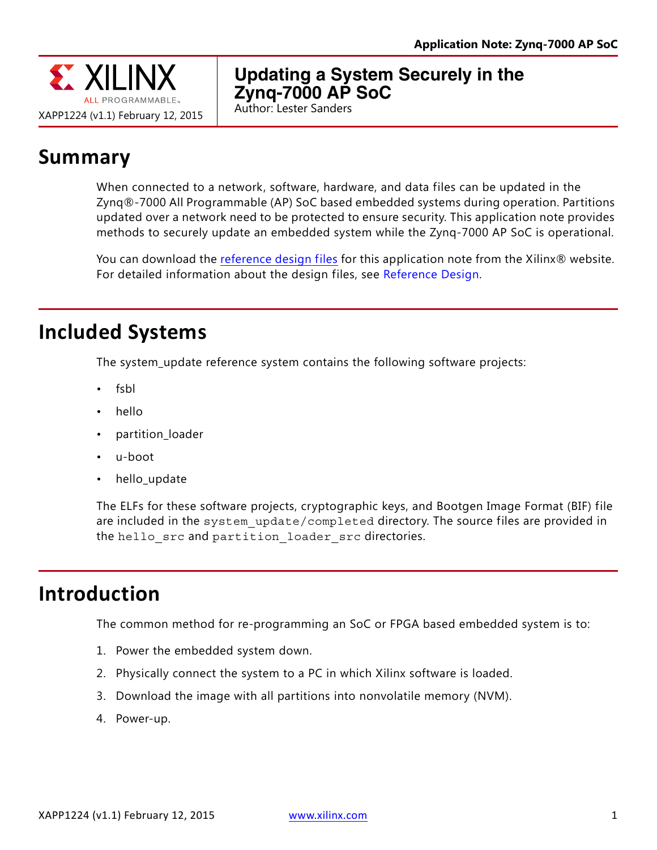

### **Updating a System Securely in the Zynq-7000 AP SoC**

Author: Lester Sanders

## **Summary**

When connected to a network, software, hardware, and data files can be updated in the Zynq®-7000 All Programmable (AP) SoC based embedded systems during operation. Partitions updated over a network need to be protected to ensure security. This application note provides methods to securely update an embedded system while the Zynq-7000 AP SoC is operational.

You can download the [reference design files](https://secure.xilinx.com/webreg/clickthrough.do?cid=370738) for this application note from the Xilinx® website. For detailed information about the design files, see [Reference Design.](#page-11-0)

### **Included Systems**

The system\_update reference system contains the following software projects:

- fsbl
- hello
- partition\_loader
- u-boot
- hello update

The ELFs for these software projects, cryptographic keys, and Bootgen Image Format (BIF) file are included in the system update/completed directory. The source files are provided in the hello src and partition loader src directories.

### **Introduction**

The common method for re-programming an SoC or FPGA based embedded system is to:

- 1. Power the embedded system down.
- 2. Physically connect the system to a PC in which Xilinx software is loaded.
- 3. Download the image with all partitions into nonvolatile memory (NVM).
- 4. Power-up.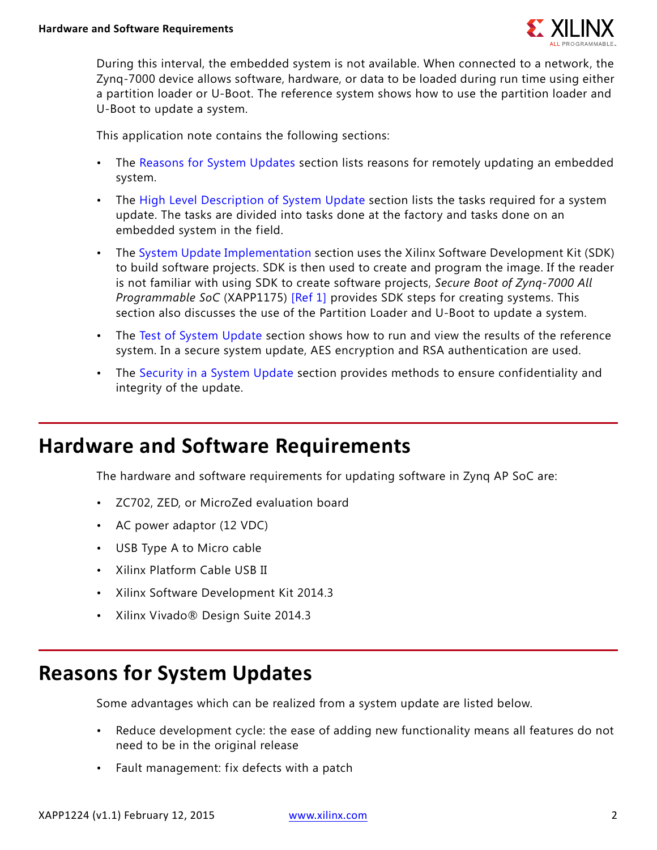

During this interval, the embedded system is not available. When connected to a network, the Zynq-7000 device allows software, hardware, or data to be loaded during run time using either a partition loader or U-Boot. The reference system shows how to use the partition loader and U-Boot to update a system.

This application note contains the following sections:

- The [Reasons for System Updates](#page-1-0) section lists reasons for remotely updating an embedded system.
- The [High Level Description of System Update](#page-2-0) section lists the tasks required for a system update. The tasks are divided into tasks done at the factory and tasks done on an embedded system in the field.
- The [System Update Implementation](#page-4-0) section uses the Xilinx Software Development Kit (SDK) to build software projects. SDK is then used to create and program the image. If the reader is not familiar with using SDK to create software projects, *Secure Boot of Zynq-7000 All Programmable SoC* (XAPP1175) [\[Ref 1\]](#page-12-0) provides SDK steps for creating systems. This section also discusses the use of the Partition Loader and U-Boot to update a system.
- The [Test of System Update](#page-8-0) section shows how to run and view the results of the reference system. In a secure system update, AES encryption and RSA authentication are used.
- The [Security in a System Update](#page-9-0) section provides methods to ensure confidentiality and integrity of the update.

### **Hardware and Software Requirements**

The hardware and software requirements for updating software in Zynq AP SoC are:

- ZC702, ZED, or MicroZed evaluation board
- AC power adaptor (12 VDC)
- USB Type A to Micro cable
- Xilinx Platform Cable USB II
- Xilinx Software Development Kit 2014.3
- Xilinx Vivado® Design Suite 2014.3

## <span id="page-1-0"></span>**Reasons for System Updates**

Some advantages which can be realized from a system update are listed below.

- Reduce development cycle: the ease of adding new functionality means all features do not need to be in the original release
- Fault management: fix defects with a patch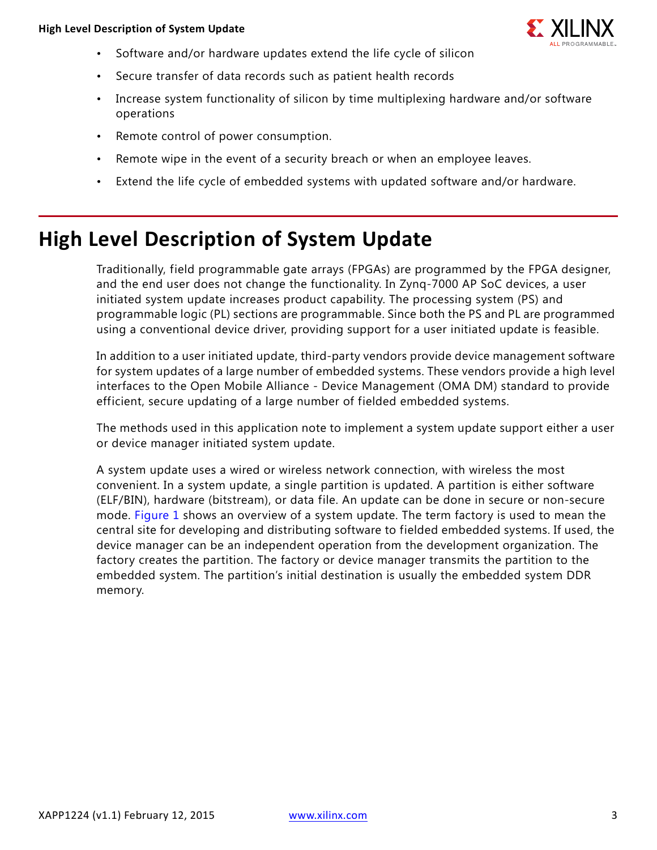

- Software and/or hardware updates extend the life cycle of silicon
- Secure transfer of data records such as patient health records
- Increase system functionality of silicon by time multiplexing hardware and/or software operations
- Remote control of power consumption.
- Remote wipe in the event of a security breach or when an employee leaves.
- Extend the life cycle of embedded systems with updated software and/or hardware.

### <span id="page-2-0"></span>**High Level Description of System Update**

Traditionally, field programmable gate arrays (FPGAs) are programmed by the FPGA designer, and the end user does not change the functionality. In Zynq-7000 AP SoC devices, a user initiated system update increases product capability. The processing system (PS) and programmable logic (PL) sections are programmable. Since both the PS and PL are programmed using a conventional device driver, providing support for a user initiated update is feasible.

In addition to a user initiated update, third-party vendors provide device management software for system updates of a large number of embedded systems. These vendors provide a high level interfaces to the Open Mobile Alliance - Device Management (OMA DM) standard to provide efficient, secure updating of a large number of fielded embedded systems.

The methods used in this application note to implement a system update support either a user or device manager initiated system update.

A system update uses a wired or wireless network connection, with wireless the most convenient. In a system update, a single partition is updated. A partition is either software (ELF/BIN), hardware (bitstream), or data file. An update can be done in secure or non-secure mode. [Figure 1](#page-3-0) shows an overview of a system update. The term factory is used to mean the central site for developing and distributing software to fielded embedded systems. If used, the device manager can be an independent operation from the development organization. The factory creates the partition. The factory or device manager transmits the partition to the embedded system. The partition's initial destination is usually the embedded system DDR memory.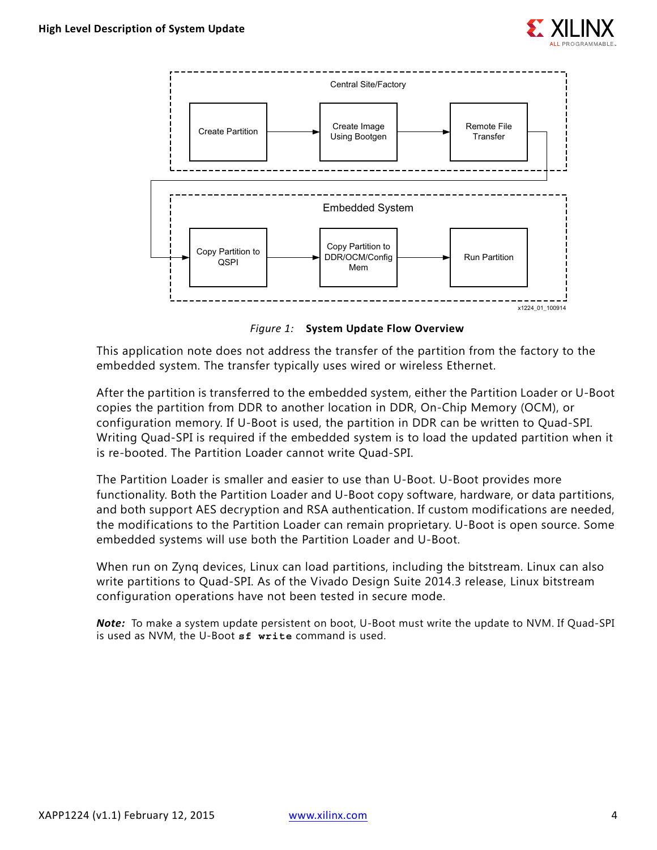

<span id="page-3-0"></span>

*Figure 1:* **System Update Flow Overview**

This application note does not address the transfer of the partition from the factory to the embedded system. The transfer typically uses wired or wireless Ethernet.

After the partition is transferred to the embedded system, either the Partition Loader or U-Boot copies the partition from DDR to another location in DDR, On-Chip Memory (OCM), or configuration memory. If U-Boot is used, the partition in DDR can be written to Quad-SPI. Writing Quad-SPI is required if the embedded system is to load the updated partition when it is re-booted. The Partition Loader cannot write Quad-SPI.

The Partition Loader is smaller and easier to use than U-Boot. U-Boot provides more functionality. Both the Partition Loader and U-Boot copy software, hardware, or data partitions, and both support AES decryption and RSA authentication. If custom modifications are needed, the modifications to the Partition Loader can remain proprietary. U-Boot is open source. Some embedded systems will use both the Partition Loader and U-Boot.

When run on Zynq devices, Linux can load partitions, including the bitstream. Linux can also write partitions to Quad-SPI. As of the Vivado Design Suite 2014.3 release, Linux bitstream configuration operations have not been tested in secure mode.

*Note:* To make a system update persistent on boot, U-Boot must write the update to NVM. If Quad-SPI is used as NVM, the U-Boot **sf write** command is used.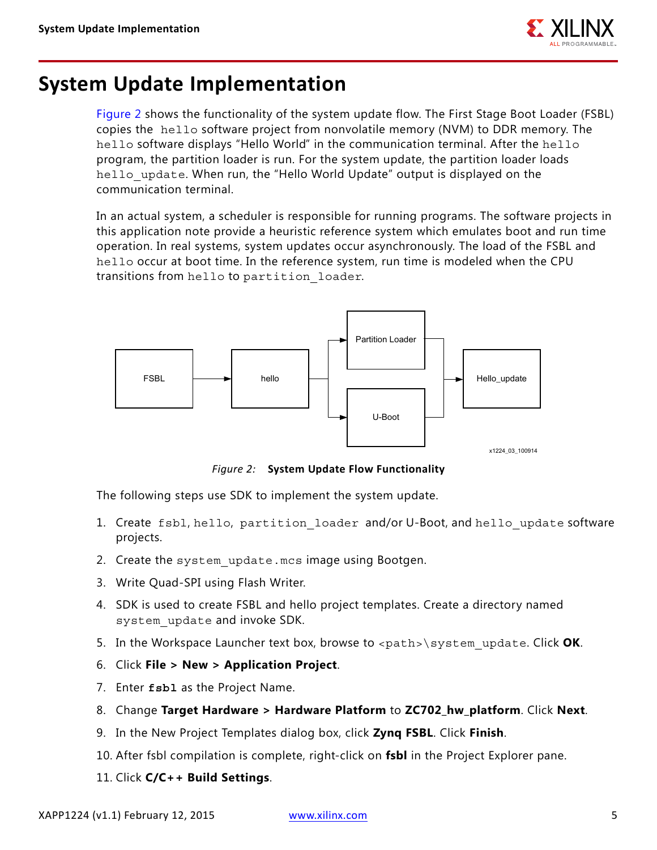

### <span id="page-4-0"></span>**System Update Implementation**

[Figure 2](#page-4-1) shows the functionality of the system update flow. The First Stage Boot Loader (FSBL) copies the hello software project from nonvolatile memory (NVM) to DDR memory. The hello software displays "Hello World" in the communication terminal. After the hello program, the partition loader is run. For the system update, the partition loader loads hello update. When run, the "Hello World Update" output is displayed on the communication terminal.

In an actual system, a scheduler is responsible for running programs. The software projects in this application note provide a heuristic reference system which emulates boot and run time operation. In real systems, system updates occur asynchronously. The load of the FSBL and hello occur at boot time. In the reference system, run time is modeled when the CPU transitions from hello to partition\_loader.

<span id="page-4-1"></span>

*Figure 2:* **System Update Flow Functionality**

The following steps use SDK to implement the system update.

- 1. Create fsbl, hello, partition loader and/or U-Boot, and hello update software projects.
- 2. Create the system update.mcs image using Bootgen.
- 3. Write Quad-SPI using Flash Writer.
- 4. SDK is used to create FSBL and hello project templates. Create a directory named system\_update and invoke SDK.
- 5. In the Workspace Launcher text box, browse to <path>\system\_update. Click OK.
- 6. Click **File > New > Application Project**.
- 7. Enter **fsbl** as the Project Name.
- 8. Change **Target Hardware > Hardware Platform** to **ZC702\_hw\_platform**. Click **Next**.
- 9. In the New Project Templates dialog box, click **Zynq FSBL**. Click **Finish**.
- 10. After fsbl compilation is complete, right-click on **fsbl** in the Project Explorer pane.
- 11. Click **C/C++ Build Settings**.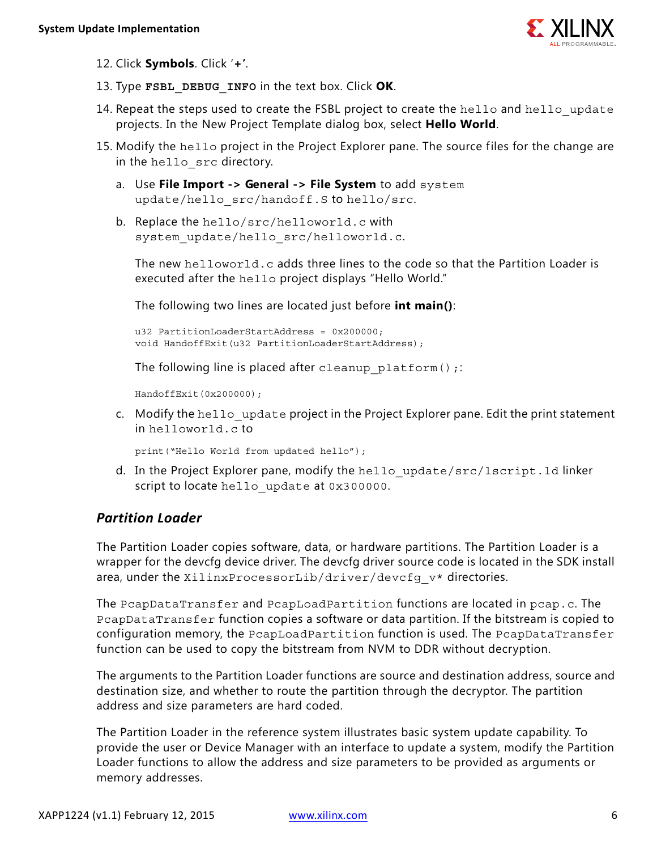

- 12. Click **Symbols**. Click '**+'**.
- 13. Type **FSBL\_DEBUG\_INFO** in the text box. Click **OK**.
- 14. Repeat the steps used to create the FSBL project to create the hello and hello update projects. In the New Project Template dialog box, select **Hello World**.
- <span id="page-5-0"></span>15. Modify the hello project in the Project Explorer pane. The source files for the change are in the hello src directory.
	- a. Use **File Import -> General -> File System** to add system update/hello\_src/handoff.S to hello/src.
	- b. Replace the hello/src/helloworld.c with system update/hello src/helloworld.c.

The new helloworld.c adds three lines to the code so that the Partition Loader is executed after the hello project displays "Hello World."

The following two lines are located just before **int main()**:

u32 PartitionLoaderStartAddress = 0x200000; void HandoffExit(u32 PartitionLoaderStartAddress);

The following line is placed after cleanup platform();

HandoffExit(0x200000);

c. Modify the hello update project in the Project Explorer pane. Edit the print statement in helloworld.c to

print("Hello World from updated hello");

d. In the Project Explorer pane, modify the hello update/src/lscript.ld linker script to locate hello update at 0x300000.

### *Partition Loader*

The Partition Loader copies software, data, or hardware partitions. The Partition Loader is a wrapper for the devcfg device driver. The devcfg driver source code is located in the SDK install area, under the XilinxProcessorLib/driver/devcfg\_v\* directories.

The PcapDataTransfer and PcapLoadPartition functions are located in pcap.c. The PcapDataTransfer function copies a software or data partition. If the bitstream is copied to configuration memory, the PcapLoadPartition function is used. The PcapDataTransfer function can be used to copy the bitstream from NVM to DDR without decryption.

The arguments to the Partition Loader functions are source and destination address, source and destination size, and whether to route the partition through the decryptor. The partition address and size parameters are hard coded.

The Partition Loader in the reference system illustrates basic system update capability. To provide the user or Device Manager with an interface to update a system, modify the Partition Loader functions to allow the address and size parameters to be provided as arguments or memory addresses.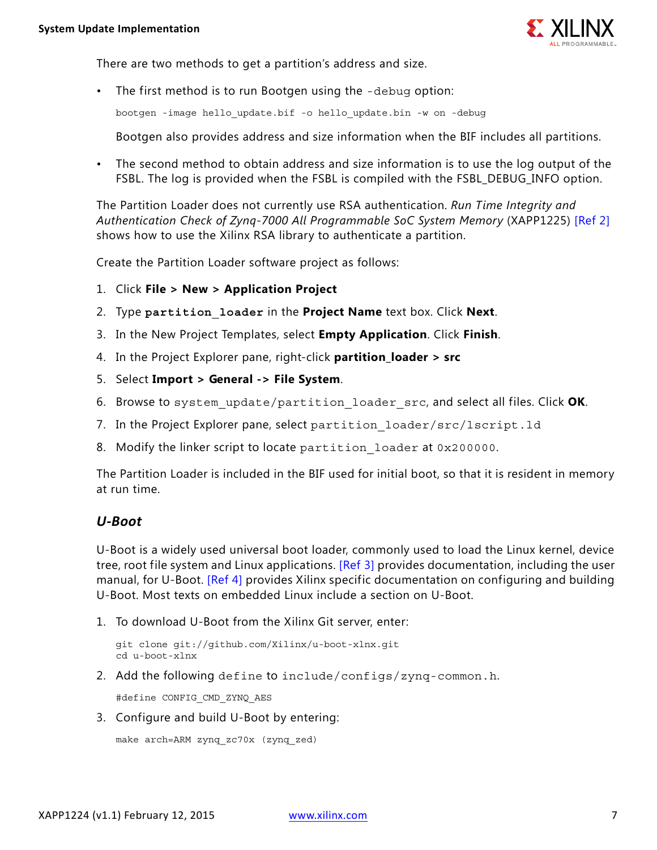

There are two methods to get a partition's address and size.

• The first method is to run Bootgen using the -debug option:

bootgen -image hello\_update.bif -o hello\_update.bin -w on -debug

Bootgen also provides address and size information when the BIF includes all partitions.

• The second method to obtain address and size information is to use the log output of the FSBL. The log is provided when the FSBL is compiled with the FSBL DEBUG INFO option.

The Partition Loader does not currently use RSA authentication. *Run Time Integrity and Authentication Check of Zynq-7000 All Programmable SoC System Memory* (XAPP1225) [\[Ref 2\]](#page-12-1) shows how to use the Xilinx RSA library to authenticate a partition.

Create the Partition Loader software project as follows:

- 1. Click **File > New > Application Project**
- 2. Type **partition\_loader** in the **Project Name** text box. Click **Next**.
- 3. In the New Project Templates, select **Empty Application**. Click **Finish**.
- 4. In the Project Explorer pane, right-click **partition\_loader > src**
- 5. Select **Import > General -> File System**.
- 6. Browse to system\_update/partition\_loader\_src, and select all files. Click **OK**.
- 7. In the Project Explorer pane, select partition loader/src/lscript.ld
- <span id="page-6-0"></span>8. Modify the linker script to locate partition loader at 0x200000.

The Partition Loader is included in the BIF used for initial boot, so that it is resident in memory at run time.

### *U-Boot*

U-Boot is a widely used universal boot loader, commonly used to load the Linux kernel, device tree, root file system and Linux applications. [\[Ref 3\]](#page-12-2) provides documentation, including the user manual, for U-Boot. [\[Ref 4\]](#page-12-3) provides Xilinx specific documentation on configuring and building U-Boot. Most texts on embedded Linux include a section on U-Boot.

1. To download U-Boot from the Xilinx Git server, enter:

```
git clone git://github.com/Xilinx/u-boot-xlnx.git
cd u-boot-xlnx
```
2. Add the following define to include/configs/zynq-common.h.

#define CONFIG\_CMD\_ZYNQ\_AES

3. Configure and build U-Boot by entering:

```
make arch=ARM zynq_zc70x (zynq_zed)
```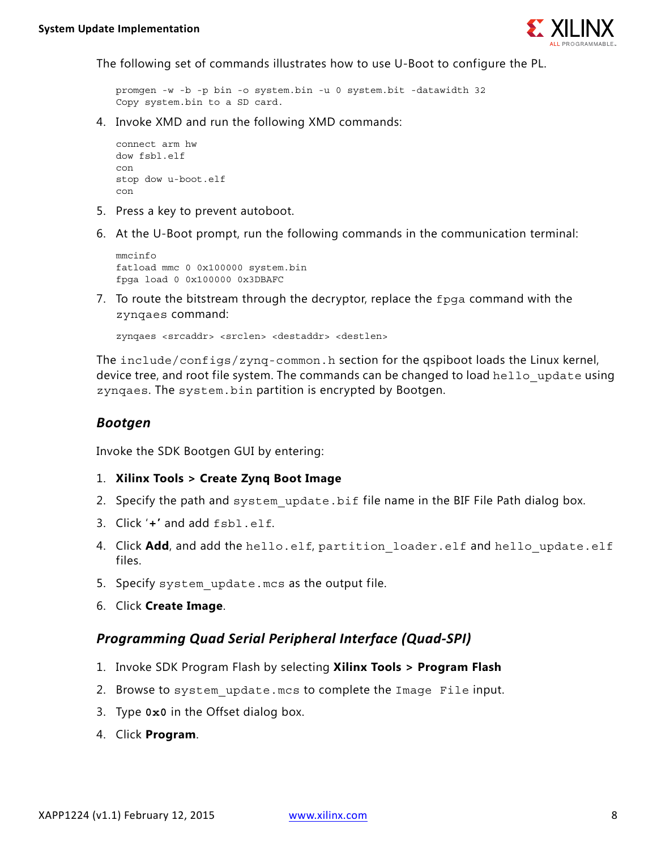

The following set of commands illustrates how to use U-Boot to configure the PL.

promgen -w -b -p bin -o system.bin -u 0 system.bit -datawidth 32 Copy system.bin to a SD card.

4. Invoke XMD and run the following XMD commands:

```
connect arm hw
dow fsbl.elf
con
stop dow u-boot.elf
con
```
- 5. Press a key to prevent autoboot.
- 6. At the U-Boot prompt, run the following commands in the communication terminal:

```
mmcinfo
fatload mmc 0 0x100000 system.bin
fpga load 0 0x100000 0x3DBAFC
```
7. To route the bitstream through the decryptor, replace the fpga command with the zynqaes command:

zynqaes <srcaddr> <srclen> <destaddr> <destlen>

The include/configs/zynq-common.h section for the qspiboot loads the Linux kernel, device tree, and root file system. The commands can be changed to load hello update using zynqaes. The system.bin partition is encrypted by Bootgen.

#### *Bootgen*

Invoke the SDK Bootgen GUI by entering:

- 1. **Xilinx Tools > Create Zynq Boot Image**
- 2. Specify the path and system update.bif file name in the BIF File Path dialog box.
- 3. Click '**+'** and add fsbl.elf.
- 4. Click **Add**, and add the hello.elf, partition loader.elf and hello update.elf files.
- 5. Specify system update.mcs as the output file.
- 6. Click **Create Image**.

#### *Programming Quad Serial Peripheral Interface (Quad-SPI)*

- 1. Invoke SDK Program Flash by selecting **Xilinx Tools > Program Flash**
- 2. Browse to system\_update.mcs to complete the Image File input.
- 3. Type **0x0** in the Offset dialog box.
- 4. Click **Program**.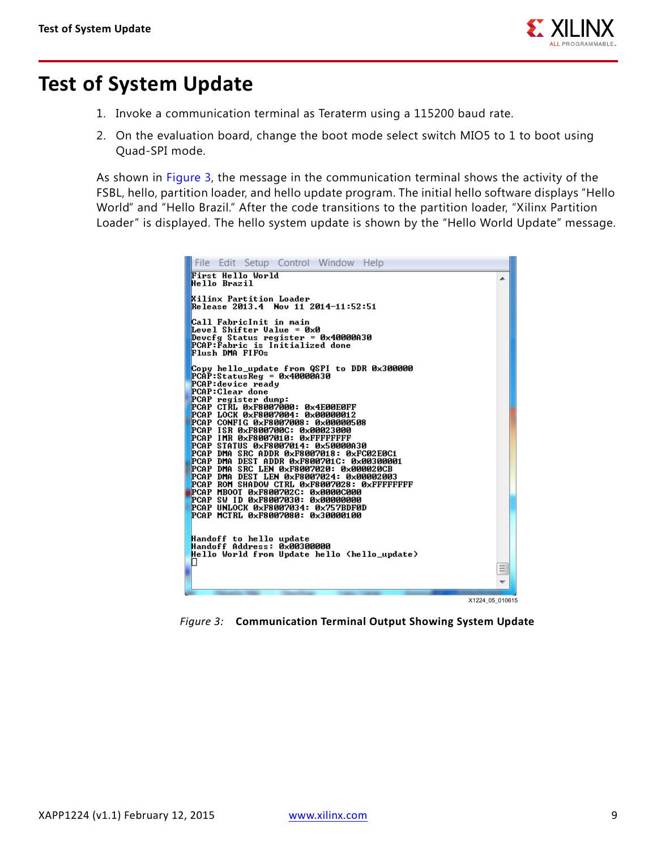

### <span id="page-8-0"></span>**Test of System Update**

- 1. Invoke a communication terminal as Teraterm using a 115200 baud rate.
- 2. On the evaluation board, change the boot mode select switch MIO5 to 1 to boot using Quad-SPI mode.

As shown in [Figure 3,](#page-8-1) the message in the communication terminal shows the activity of the FSBL, hello, partition loader, and hello update program. The initial hello software displays "Hello World" and "Hello Brazil." After the code transitions to the partition loader, "Xilinx Partition Loader" is displayed. The hello system update is shown by the "Hello World Update" message.

<span id="page-8-1"></span>

*Figure 3:* **Communication Terminal Output Showing System Update**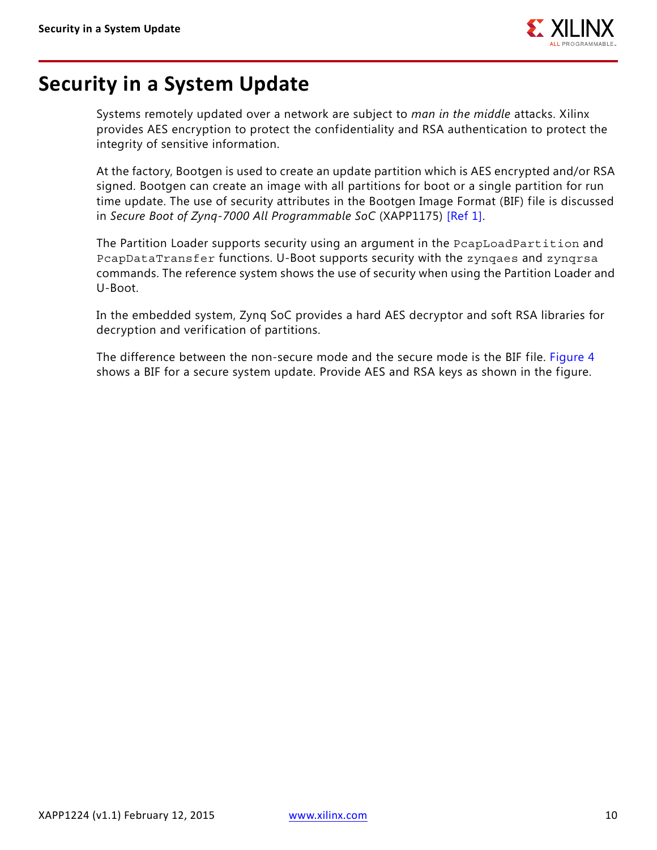

### <span id="page-9-0"></span>**Security in a System Update**

Systems remotely updated over a network are subject to *man in the middle* attacks. Xilinx provides AES encryption to protect the confidentiality and RSA authentication to protect the integrity of sensitive information.

At the factory, Bootgen is used to create an update partition which is AES encrypted and/or RSA signed. Bootgen can create an image with all partitions for boot or a single partition for run time update. The use of security attributes in the Bootgen Image Format (BIF) file is discussed in *Secure Boot of Zynq-7000 All Programmable SoC* (XAPP1175) [\[Ref 1\].](#page-12-0)

The Partition Loader supports security using an argument in the PcapLoadPartition and PcapDataTransfer functions. U-Boot supports security with the zynqaes and zynqrsa commands. The reference system shows the use of security when using the Partition Loader and U-Boot.

In the embedded system, Zynq SoC provides a hard AES decryptor and soft RSA libraries for decryption and verification of partitions.

The difference between the non-secure mode and the secure mode is the BIF file. [Figure 4](#page-10-0) shows a BIF for a secure system update. Provide AES and RSA keys as shown in the figure.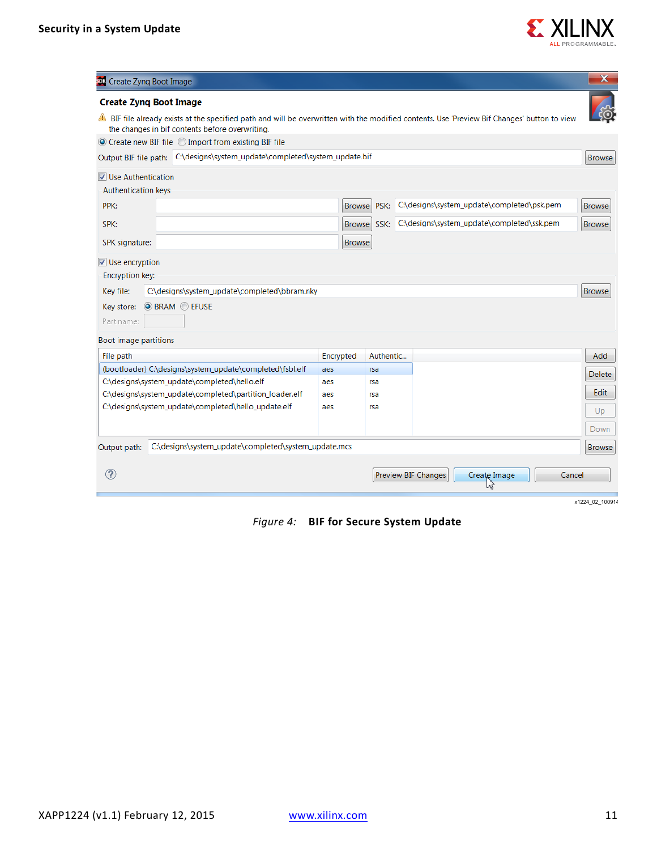

<span id="page-10-0"></span>

| <b>303</b> Create Zynq Boot Image                                                                                                                                                                                              |            |                       |                            |                                            | $\mathbf x$               |
|--------------------------------------------------------------------------------------------------------------------------------------------------------------------------------------------------------------------------------|------------|-----------------------|----------------------------|--------------------------------------------|---------------------------|
| <b>Create Zyng Boot Image</b><br>BIF file already exists at the specified path and will be overwritten with the modified contents. Use 'Preview Bif Changes' button to view<br>the changes in bif contents before overwriting. |            |                       |                            |                                            |                           |
| ◎ Create new BIF file ◎ Import from existing BIF file                                                                                                                                                                          |            |                       |                            |                                            |                           |
| Output BIF file path: C:\designs\system_update\completed\system_update.bif                                                                                                                                                     |            |                       |                            |                                            | <b>Browse</b>             |
| <b>V</b> Use Authentication                                                                                                                                                                                                    |            |                       |                            |                                            |                           |
| <b>Authentication keys</b>                                                                                                                                                                                                     |            |                       |                            |                                            |                           |
| PPK:                                                                                                                                                                                                                           |            | PSK:<br><b>Browse</b> |                            | C:\designs\system_update\completed\psk.pem | <b>Browse</b>             |
| SPK:                                                                                                                                                                                                                           |            | <b>Browse</b><br>SSK: |                            | C:\designs\system_update\completed\ssk.pem | <b>Browse</b>             |
| SPK signature:                                                                                                                                                                                                                 |            | <b>Browse</b>         |                            |                                            |                           |
| Use encryption<br>Encryption key:<br>Key file:<br>C:\designs\system_update\completed\bbram.nky<br><b>O BRAM C EFUSE</b><br>Key store:<br>Part name:                                                                            |            |                       |                            |                                            | <b>Browse</b>             |
| Boot image partitions                                                                                                                                                                                                          |            |                       |                            |                                            |                           |
| File path                                                                                                                                                                                                                      | Encrypted  | Authentic             |                            |                                            | Add                       |
| (bootloader) C:\designs\system_update\completed\fsbl.elf                                                                                                                                                                       | aes        | rsa                   |                            |                                            | Delete                    |
| C:\designs\system_update\completed\hello.elf<br>C:\designs\system_update\completed\partition_loader.elf                                                                                                                        | aes<br>aes | rsa<br>rsa            |                            |                                            | Edit                      |
| C:\designs\system_update\completed\hello_update.elf                                                                                                                                                                            | aes        | rsa                   |                            |                                            | Up                        |
|                                                                                                                                                                                                                                |            |                       |                            |                                            | Down                      |
| C:\designs\system_update\completed\system_update.mcs<br>Output path:                                                                                                                                                           |            |                       |                            |                                            | <b>Browse</b>             |
| $\left( 2\right)$                                                                                                                                                                                                              |            |                       | <b>Preview BIF Changes</b> | Create Image                               | Cancel<br>x1224_02_100914 |

*Figure 4:* **BIF for Secure System Update**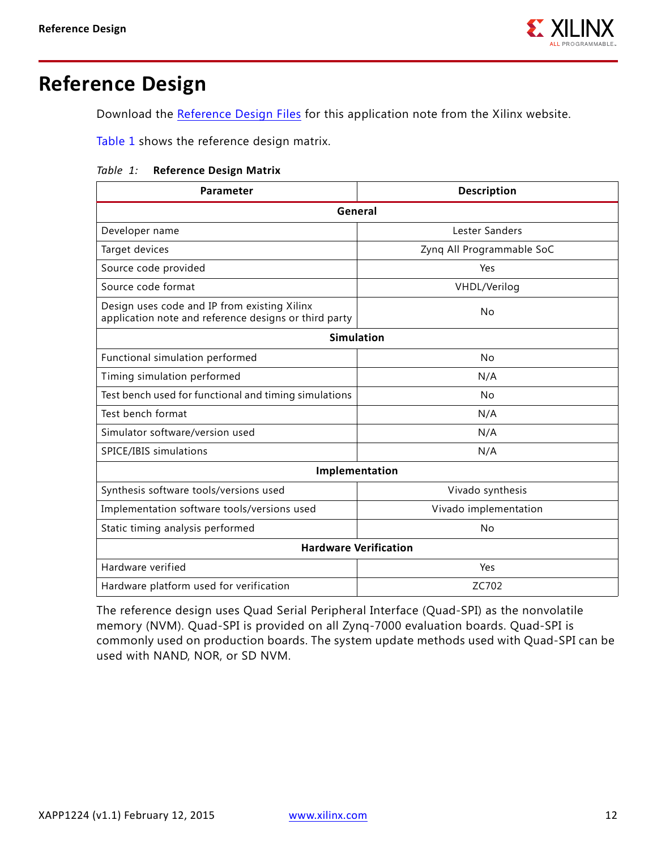

### <span id="page-11-0"></span>**Reference Design**

Download the [Reference Design Files](https://secure.xilinx.com/webreg/clickthrough.do?cid=370738) for this application note from the Xilinx website.

[Table 1](#page-11-1) shows the reference design matrix.

#### <span id="page-11-1"></span>*Table 1:* **Reference Design Matrix**

| Parameter                                                                                             | <b>Description</b>        |  |  |  |  |
|-------------------------------------------------------------------------------------------------------|---------------------------|--|--|--|--|
| General                                                                                               |                           |  |  |  |  |
| Developer name                                                                                        | Lester Sanders            |  |  |  |  |
| Target devices                                                                                        | Zyng All Programmable SoC |  |  |  |  |
| Source code provided                                                                                  | Yes                       |  |  |  |  |
| Source code format                                                                                    | VHDL/Verilog              |  |  |  |  |
| Design uses code and IP from existing Xilinx<br>application note and reference designs or third party | No                        |  |  |  |  |
| <b>Simulation</b>                                                                                     |                           |  |  |  |  |
| Functional simulation performed                                                                       | No                        |  |  |  |  |
| Timing simulation performed                                                                           | N/A                       |  |  |  |  |
| Test bench used for functional and timing simulations                                                 | No                        |  |  |  |  |
| Test bench format                                                                                     | N/A                       |  |  |  |  |
| Simulator software/version used                                                                       | N/A                       |  |  |  |  |
| SPICE/IBIS simulations                                                                                | N/A                       |  |  |  |  |
| Implementation                                                                                        |                           |  |  |  |  |
| Synthesis software tools/versions used                                                                | Vivado synthesis          |  |  |  |  |
| Implementation software tools/versions used                                                           | Vivado implementation     |  |  |  |  |
| Static timing analysis performed                                                                      | No                        |  |  |  |  |
| <b>Hardware Verification</b>                                                                          |                           |  |  |  |  |
| Hardware verified                                                                                     | Yes                       |  |  |  |  |
| Hardware platform used for verification                                                               | ZC702                     |  |  |  |  |

The reference design uses Quad Serial Peripheral Interface (Quad-SPI) as the nonvolatile memory (NVM). Quad-SPI is provided on all Zynq-7000 evaluation boards. Quad-SPI is commonly used on production boards. The system update methods used with Quad-SPI can be used with NAND, NOR, or SD NVM.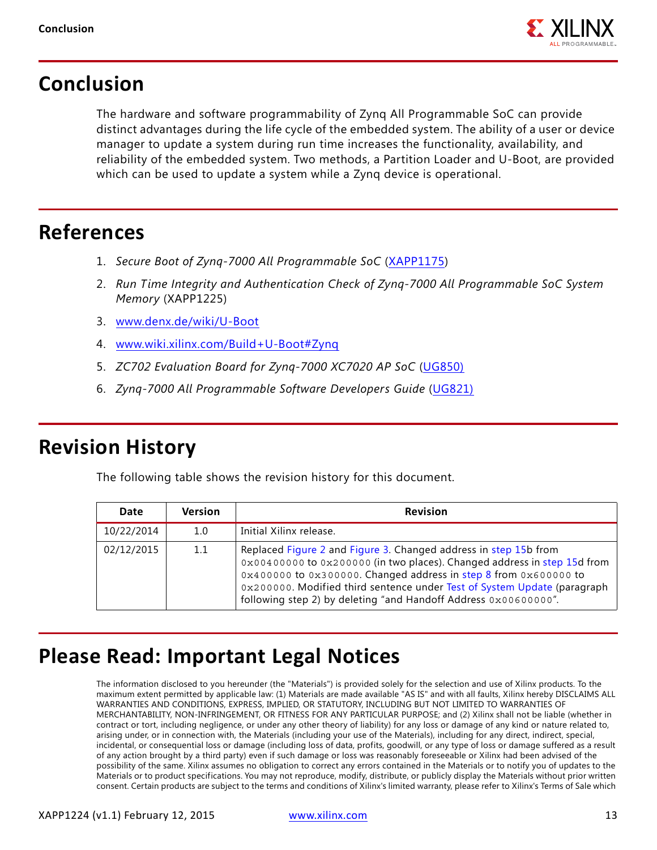

### **Conclusion**

The hardware and software programmability of Zynq All Programmable SoC can provide distinct advantages during the life cycle of the embedded system. The ability of a user or device manager to update a system during run time increases the functionality, availability, and reliability of the embedded system. Two methods, a Partition Loader and U-Boot, are provided which can be used to update a system while a Zynq device is operational.

### **References**

- <span id="page-12-0"></span>1. *Secure Boot of Zynq-7000 All Programmable SoC* [\(XAPP1175\)](http://www.xilinx.com/support/documentation/application_notes/xapp1175_zynq_secure_boot.pdf)
- <span id="page-12-1"></span>2. *Run Time Integrity and Authentication Check of Zynq-7000 All Programmable SoC System Memory* (XAPP1225)
- <span id="page-12-2"></span>3. [www.denx.de/wiki/U-Boot](http://www.denx.de/wiki/U-Boot)
- <span id="page-12-3"></span>4. [www.wiki.xilinx.com/Build+U-Boot#Zynq](http://www.wiki.xilinx.com/Build+U-Boot#Zynq)
- 5. *ZC702 Evaluation Board for Zynq-7000 XC7020 AP SoC* [\(UG850\)](http://www.xilinx.com/support/documentation/boards_and_kits/zc702_zvik/ug850-zc702-eval-bd.pdf)
- 6. *Zynq-7000 All Programmable Software Developers Guide* [\(UG821\)](http://www.xilinx.com/support/documentation/user_guides/ug821-zynq-7000-swdev.pdf)

### **Revision History**

The following table shows the revision history for this document.

| Date       | <b>Version</b> | <b>Revision</b>                                                                                                                                                                                                                                                                                                                                                  |
|------------|----------------|------------------------------------------------------------------------------------------------------------------------------------------------------------------------------------------------------------------------------------------------------------------------------------------------------------------------------------------------------------------|
| 10/22/2014 | 1.0            | Initial Xilinx release.                                                                                                                                                                                                                                                                                                                                          |
| 02/12/2015 | 1.1            | Replaced Figure 2 and Figure 3. Changed address in step 15b from<br>0x00400000 to 0x200000 (in two places). Changed address in step 15d from<br>0x400000 to 0x300000. Changed address in step 8 from 0x600000 to<br>0x200000. Modified third sentence under Test of System Update (paragraph<br>following step 2) by deleting "and Handoff Address 0x006000000". |

# **Please Read: Important Legal Notices**

The information disclosed to you hereunder (the "Materials") is provided solely for the selection and use of Xilinx products. To the maximum extent permitted by applicable law: (1) Materials are made available "AS IS" and with all faults, Xilinx hereby DISCLAIMS ALL WARRANTIES AND CONDITIONS, EXPRESS, IMPLIED, OR STATUTORY, INCLUDING BUT NOT LIMITED TO WARRANTIES OF MERCHANTABILITY, NON-INFRINGEMENT, OR FITNESS FOR ANY PARTICULAR PURPOSE; and (2) Xilinx shall not be liable (whether in contract or tort, including negligence, or under any other theory of liability) for any loss or damage of any kind or nature related to, arising under, or in connection with, the Materials (including your use of the Materials), including for any direct, indirect, special, incidental, or consequential loss or damage (including loss of data, profits, goodwill, or any type of loss or damage suffered as a result of any action brought by a third party) even if such damage or loss was reasonably foreseeable or Xilinx had been advised of the possibility of the same. Xilinx assumes no obligation to correct any errors contained in the Materials or to notify you of updates to the Materials or to product specifications. You may not reproduce, modify, distribute, or publicly display the Materials without prior written consent. Certain products are subject to the terms and conditions of Xilinx's limited warranty, please refer to Xilinx's Terms of Sale which